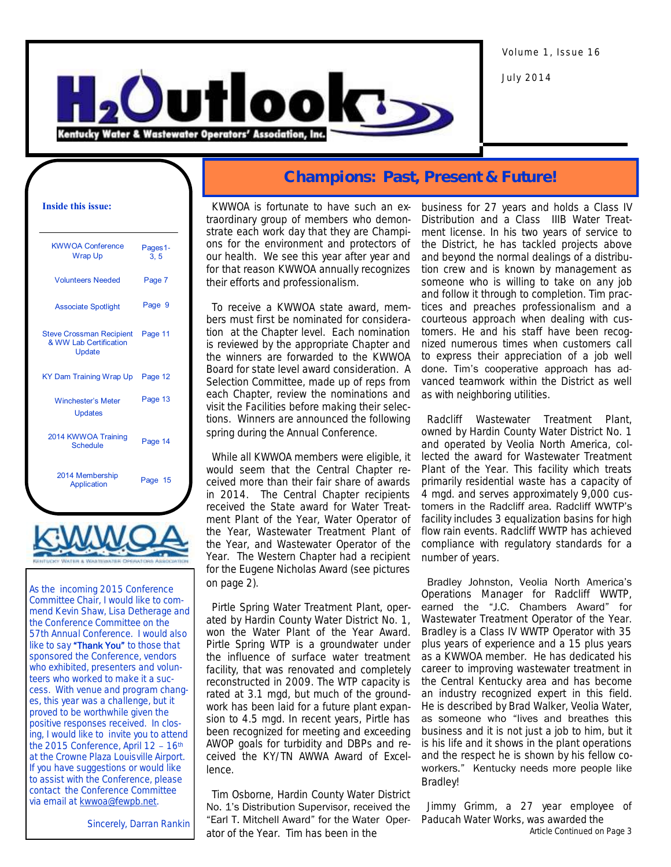Volume 1, Issue 16

July 2014



### **Inside this issue:**

| <b>KWWOA Conference</b><br><b>Wrap Up</b>                           | Pages1-<br>3, 5 |
|---------------------------------------------------------------------|-----------------|
| <b>Volunteers Needed</b>                                            | Page 7          |
| <b>Associate Spotlight</b>                                          | Page 9          |
| <b>Steve Crossman Recipient</b><br>& WW Lab Certification<br>Update | Page 11         |
| KY Dam Training Wrap Up                                             | Page 12         |
| <b>Winchester's Meter</b><br><b>Updates</b>                         | Page 13         |
| 2014 KWWOA Training<br>Schedule                                     | Page 14         |
| 2014 Membership                                                     | Page 15         |



As the incoming 2015 Conference Committee Chair, I would like to commend Kevin Shaw, Lisa Detherage and the Conference Committee on the 57th Annual Conference. I would also like to say "Thank You" to those that sponsored the Conference, vendors who exhibited, presenters and volunteers who worked to make it a success. With venue and program changes, this year was a challenge, but it proved to be worthwhile given the positive responses received. In closing, I would like to invite you to attend the 2015 Conference, April 12 – 16th at the Crowne Plaza Louisville Airport. If you have suggestions or would like to assist with the Conference, please contact the Conference Committee via email at **kwwoa@fewpb.net**.

Sincerely, Darran Rankin

### **Champions: Past, Present & Future!**

 KWWOA is fortunate to have such an extraordinary group of members who demonstrate each work day that they are Champions for the environment and protectors of our health. We see this year after year and for that reason KWWOA annually recognizes their efforts and professionalism.

 To receive a KWWOA state award, members must first be nominated for consideration at the Chapter level. Each nomination is reviewed by the appropriate Chapter and the winners are forwarded to the KWWOA Board for state level award consideration. A Selection Committee, made up of reps from each Chapter, review the nominations and visit the Facilities before making their selections. Winners are announced the following spring during the Annual Conference.

 While all KWWOA members were eligible, it would seem that the Central Chapter received more than their fair share of awards in 2014. The Central Chapter recipients received the State award for Water Treatment Plant of the Year, Water Operator of the Year, Wastewater Treatment Plant of the Year, and Wastewater Operator of the Year. The Western Chapter had a recipient for the Eugene Nicholas Award (see pictures on page 2).

 Pirtle Spring Water Treatment Plant, operated by Hardin County Water District No. 1, won the Water Plant of the Year Award. Pirtle Spring WTP is a groundwater under the influence of surface water treatment facility, that was renovated and completely reconstructed in 2009. The WTP capacity is rated at 3.1 mgd, but much of the groundwork has been laid for a future plant expansion to 4.5 mgd. In recent years, Pirtle has been recognized for meeting and exceeding AWOP goals for turbidity and DBPs and received the KY/TN AWWA Award of Excellence.

 Tim Osborne, Hardin County Water District No. 1's Distribution Supervisor, received the "Earl T. Mitchell Award" for the Water Operator of the Year. Tim has been in the

business for 27 years and holds a Class IV Distribution and a Class IIIB Water Treatment license. In his two years of service to the District, he has tackled projects above and beyond the normal dealings of a distribution crew and is known by management as someone who is willing to take on any job and follow it through to completion. Tim practices and preaches professionalism and a courteous approach when dealing with customers. He and his staff have been recognized numerous times when customers call to express their appreciation of a job well done. Tim's cooperative approach has advanced teamwork within the District as well as with neighboring utilities.

 Radcliff Wastewater Treatment Plant, owned by Hardin County Water District No. 1 and operated by Veolia North America, collected the award for Wastewater Treatment Plant of the Year. This facility which treats primarily residential waste has a capacity of 4 mgd. and serves approximately 9,000 customers in the Radcliff area. Radcliff WWTP's facility includes 3 equalization basins for high flow rain events. Radcliff WWTP has achieved compliance with regulatory standards for a number of years.

 Bradley Johnston, Veolia North America's Operations Manager for Radcliff WWTP, earned the "J.C. Chambers Award" for Wastewater Treatment Operator of the Year. Bradley is a Class IV WWTP Operator with 35 plus years of experience and a 15 plus years as a KWWOA member. He has dedicated his career to improving wastewater treatment in the Central Kentucky area and has become an industry recognized expert in this field. He is described by Brad Walker, Veolia Water, as someone who "lives and breathes this business and it is not just a job to him, but it is his life and it shows in the plant operations and the respect he is shown by his fellow coworkers." Kentucky needs more people like Bradley!

 Jimmy Grimm, a 27 year employee of Paducah Water Works, was awarded the Article Continued on Page 3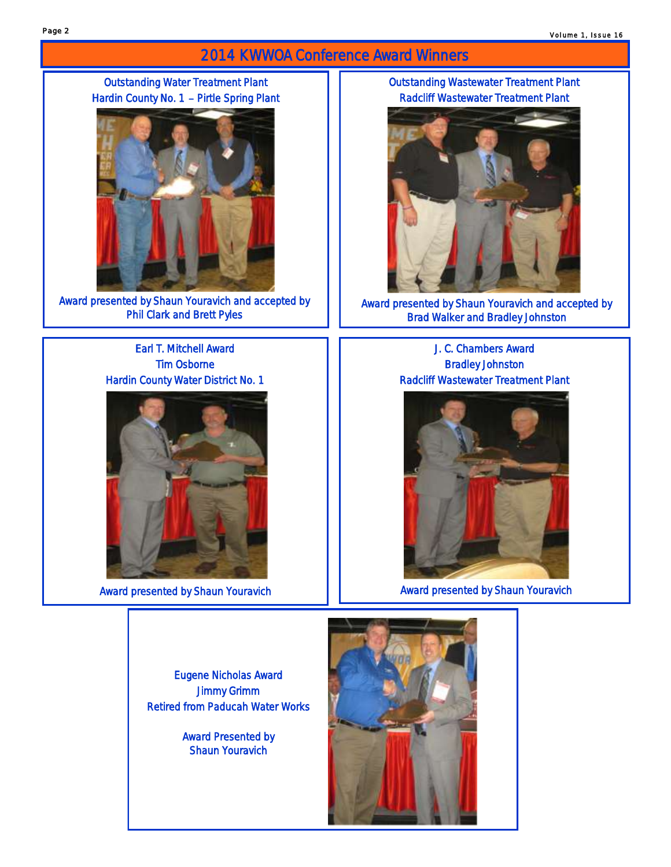## 2014 KWWOA Conference Award Winners

Outstanding Water Treatment Plant Hardin County No. 1 – Pirtle Spring Plant



Award presented by Shaun Youravich and accepted by Phil Clark and Brett Pyles

### Earl T. Mitchell Award Tim Osborne Hardin County Water District No. 1



Eugene Nicholas Award Jimmy Grimm Retired from Paducah Water Works

> Award Presented by Shaun Youravich

### Outstanding Wastewater Treatment Plant Radcliff Wastewater Treatment Plant



Award presented by Shaun Youravich and accepted by Brad Walker and Bradley Johnston

J. C. Chambers Award Bradley Johnston Radcliff Wastewater Treatment Plant



Award presented by Shaun Youravich **Award presented by Shaun Youravich** Award presented by Shaun Youravich

Page 2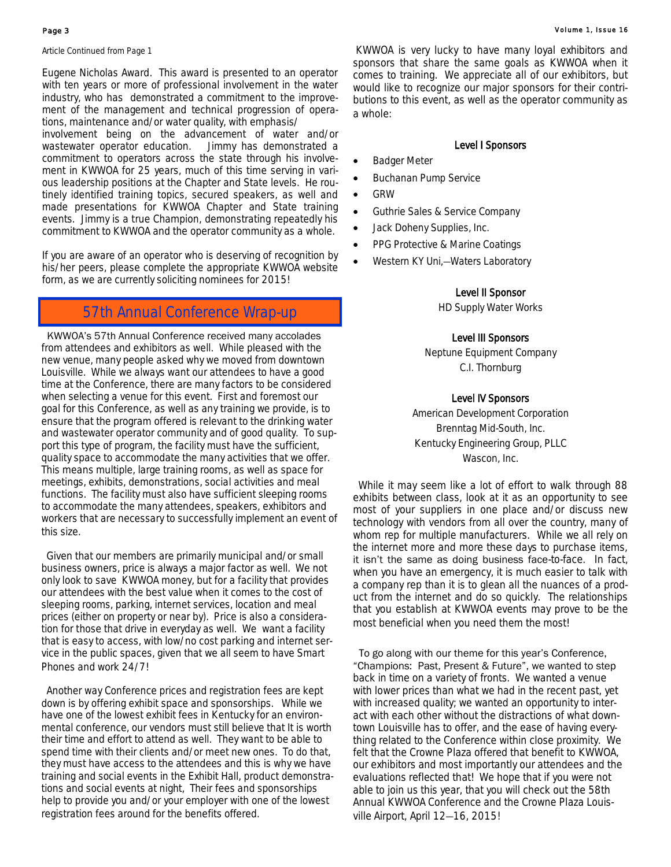Article Continued from Page 1

Eugene Nicholas Award. This award is presented to an operator with ten years or more of professional involvement in the water industry, who has demonstrated a commitment to the improvement of the management and technical progression of operations, maintenance and/or water quality, with emphasis/

involvement being on the advancement of water and/or wastewater operator education. Jimmy has demonstrated a commitment to operators across the state through his involvement in KWWOA for 25 years, much of this time serving in various leadership positions at the Chapter and State levels. He routinely identified training topics, secured speakers, as well and made presentations for KWWOA Chapter and State training events. Jimmy is a true Champion, demonstrating repeatedly his commitment to KWWOA and the operator community as a whole.

If you are aware of an operator who is deserving of recognition by his/her peers, please complete the appropriate KWWOA website form, as we are currently soliciting nominees for 2015!

### 57th Annual Conference Wrap-up

 KWWOA's 57th Annual Conference received many accolades from attendees and exhibitors as well. While pleased with the new venue, many people asked why we moved from downtown Louisville. While we always want our attendees to have a good time at the Conference, there are many factors to be considered when selecting a venue for this event. First and foremost our goal for this Conference, as well as any training we provide, is to ensure that the program offered is relevant to the drinking water and wastewater operator community and of good quality. To support this type of program, the facility must have the sufficient, quality space to accommodate the many activities that we offer. This means multiple, large training rooms, as well as space for meetings, exhibits, demonstrations, social activities and meal functions. The facility must also have sufficient sleeping rooms to accommodate the many attendees, speakers, exhibitors and workers that are necessary to successfully implement an event of this size.

 Given that our members are primarily municipal and/or small business owners, price is always a major factor as well. We not only look to save KWWOA money, but for a facility that provides our attendees with the best value when it comes to the cost of sleeping rooms, parking, internet services, location and meal prices (either on property or near by). Price is also a consideration for those that drive in everyday as well. We want a facility that is easy to access, with low/no cost parking and internet service in the public spaces, given that we all seem to have Smart Phones and work 24/7!

 Another way Conference prices and registration fees are kept down is by offering exhibit space and sponsorships. While we have one of the lowest exhibit fees in Kentucky for an environmental conference, our vendors must still believe that It is worth their time and effort to attend as well. They want to be able to spend time with their clients and/or meet new ones. To do that, they must have access to the attendees and this is why we have training and social events in the Exhibit Hall, product demonstrations and social events at night, Their fees and sponsorships help to provide you and/or your employer with one of the lowest registration fees around for the benefits offered.

KWWOA is very lucky to have many loyal exhibitors and sponsors that share the same goals as KWWOA when it comes to training. We appreciate all of our exhibitors, but would like to recognize our major sponsors for their contributions to this event, as well as the operator community as a whole:

### Level I Sponsors

- Badger Meter
- Buchanan Pump Service
- GRW
- Guthrie Sales & Service Company
- Jack Doheny Supplies, Inc.
- PPG Protective & Marine Coatings
- Western KY Uni,—Waters Laboratory

### Level II Sponsor

HD Supply Water Works

### Level III Sponsors

Neptune Equipment Company C.I. Thornburg

### Level IV Sponsors

American Development Corporation Brenntag Mid-South, Inc. Kentucky Engineering Group, PLLC Wascon, Inc.

 While it may seem like a lot of effort to walk through 88 exhibits between class, look at it as an opportunity to see most of your suppliers in one place and/or discuss new technology with vendors from all over the country, many of whom rep for multiple manufacturers. While we all rely on the internet more and more these days to purchase items, it isn't the same as doing business face-to-face. In fact, when you have an emergency, it is much easier to talk with a company rep than it is to glean all the nuances of a product from the internet and do so quickly. The relationships that you establish at KWWOA events may prove to be the most beneficial when you need them the most!

 To go along with our theme for this year's Conference, "Champions: Past, Present & Future", we wanted to step back in time on a variety of fronts. We wanted a venue with lower prices than what we had in the recent past, yet with increased quality; we wanted an opportunity to interact with each other without the distractions of what downtown Louisville has to offer, and the ease of having everything related to the Conference within close proximity. We felt that the Crowne Plaza offered that benefit to KWWOA, our exhibitors and most importantly our attendees and the evaluations reflected that! We hope that if you were not able to join us this year, that you will check out the 58th Annual KWWOA Conference and the Crowne Plaza Louisville Airport, April 12—16, 2015!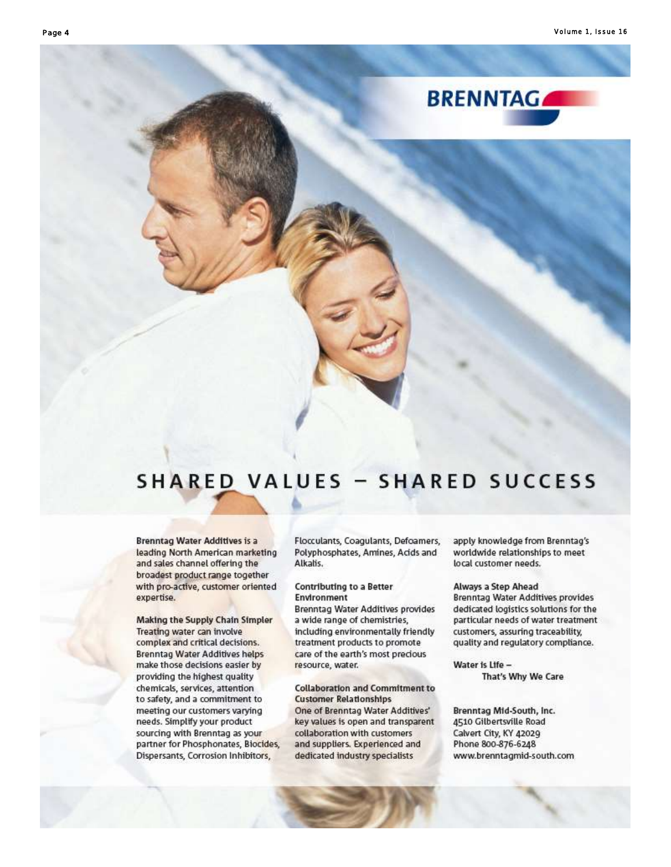

## **SHARED VALUES - SHARED SUCCESS**

**Brenntag Water Additives is a** leading North American marketing and sales channel offering the broadest product range together with pro-active, customer oriented expertise.

Making the Supply Chain Simpler Treating water can involve complex and critical decisions. **Brenntag Water Additives helps** make those decisions easier by providing the highest quality chemicals, services, attention to safety, and a commitment to meeting our customers varying needs. Simplify your product sourcing with Brenntag as your partner for Phosphonates, Biocides, Dispersants, Corrosion Inhibitors,

Flocculants, Coagulants, Defoamers, Polyphosphates, Amines, Acids and Alkalis.

### Contributing to a Better **Environment**

Brenntag Water Additives provides a wide range of chemistries, including environmentally friendly treatment products to promote care of the earth's most precious resource, water.

**Collaboration and Commitment to Customer Relationships** One of Brenntag Water Additives' key values is open and transparent collaboration with customers and suppliers. Experienced and dedicated industry specialists

apply knowledge from Brenntag's worldwide relationships to meet local customer needs.

### Always a Step Ahead

Brenntag Water Additives provides dedicated logistics solutions for the particular needs of water treatment customers, assuring traceability, quality and regulatory compliance.

Water is Life -That's Why We Care

Brenntag Mid-South, Inc. 4510 Gilbertsville Road Calvert City, KY 42029 Phone 800-876-6248 www.brenntagmid-south.com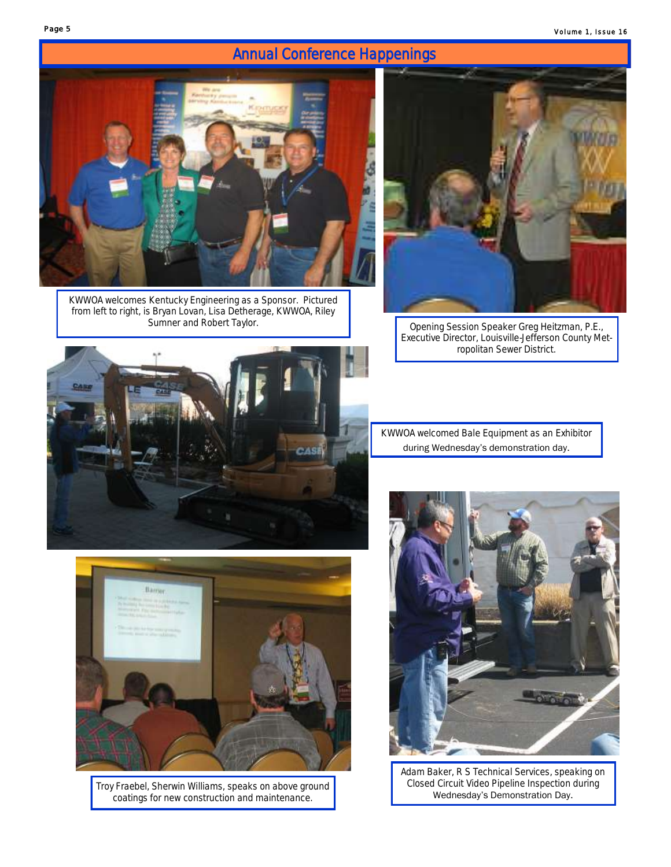## Annual Conference Happenings



KWWOA welcomes Kentucky Engineering as a Sponsor. Pictured from left to right, is Bryan Lovan, Lisa Detherage, KWWOA, Riley



Opening Session Speaker Greg Heitzman, P.E., Executive Director, Louisville-Jefferson County Metropolitan Sewer District.



KWWOA welcomed Bale Equipment as an Exhibitor during Wednesday's demonstration day.



Adam Baker, R S Technical Services, speaking on Closed Circuit Video Pipeline Inspection during Wednesday's Demonstration Day.



Troy Fraebel, Sherwin Williams, speaks on above ground coatings for new construction and maintenance.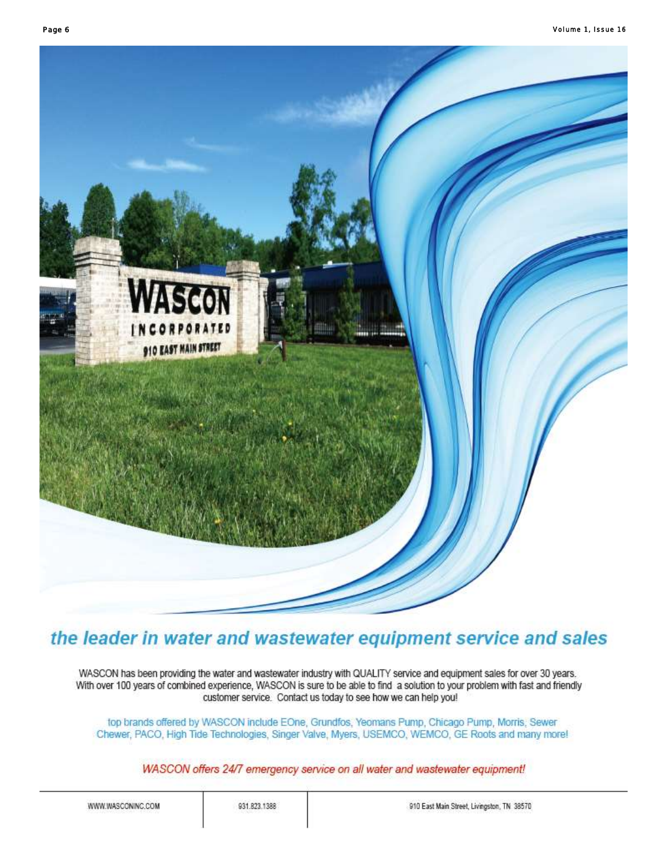

## the leader in water and wastewater equipment service and sales

WASCON has been providing the water and wastewater industry with QUALITY service and equipment sales for over 30 years. With over 100 years of combined experience, WASCON is sure to be able to find a solution to your problem with fast and friendly customer service. Contact us today to see how we can help you!

top brands offered by WASCON include EOne, Grundfos, Yeomans Pump, Chicago Pump, Morris, Sewer Chewer, PACO, High Tide Technologies, Singer Valve, Myers, USEMCO, WEMCO, GE Roots and many more!

WASCON offers 24/7 emergency service on all water and wastewater equipment!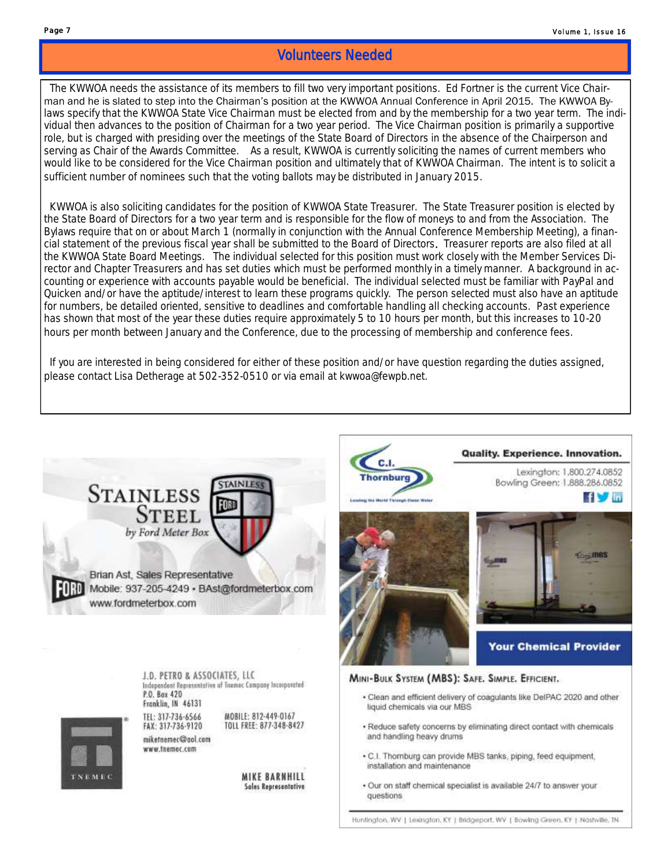### Volunteers Needed

 The KWWOA needs the assistance of its members to fill two very important positions. Ed Fortner is the current Vice Chairman and he is slated to step into the Chairman's position at the KWWOA Annual Conference in April 2015. The KWWOA Bylaws specify that the KWWOA State Vice Chairman must be elected from and by the membership for a two year term. The individual then advances to the position of Chairman for a two year period. The Vice Chairman position is primarily a supportive role, but is charged with presiding over the meetings of the State Board of Directors in the absence of the Chairperson and serving as Chair of the Awards Committee. As a result, KWWOA is currently soliciting the names of current members who would like to be considered for the Vice Chairman position and ultimately that of KWWOA Chairman. The intent is to solicit a sufficient number of nominees such that the voting ballots may be distributed in January 2015.

 KWWOA is also soliciting candidates for the position of KWWOA State Treasurer. The State Treasurer position is elected by the State Board of Directors for a two year term and is responsible for the flow of moneys to and from the Association. The Bylaws require that on or about March 1 (normally in conjunction with the Annual Conference Membership Meeting), a financial statement of the previous fiscal year shall be submitted to the Board of Directors. Treasurer reports are also filed at all the KWWOA State Board Meetings. The individual selected for this position must work closely with the Member Services Director and Chapter Treasurers and has set duties which must be performed monthly in a timely manner. A background in accounting or experience with accounts payable would be beneficial. The individual selected must be familiar with PayPal and Quicken and/or have the aptitude/interest to learn these programs quickly. The person selected must also have an aptitude for numbers, be detailed oriented, sensitive to deadlines and comfortable handling all checking accounts. Past experience has shown that most of the year these duties require approximately 5 to 10 hours per month, but this increases to 10-20 hours per month between January and the Conference, due to the processing of membership and conference fees.

 If you are interested in being considered for either of these position and/or have question regarding the duties assigned, please contact Lisa Detherage at 502-352-0510 or via email at kwwoa@fewpb.net.

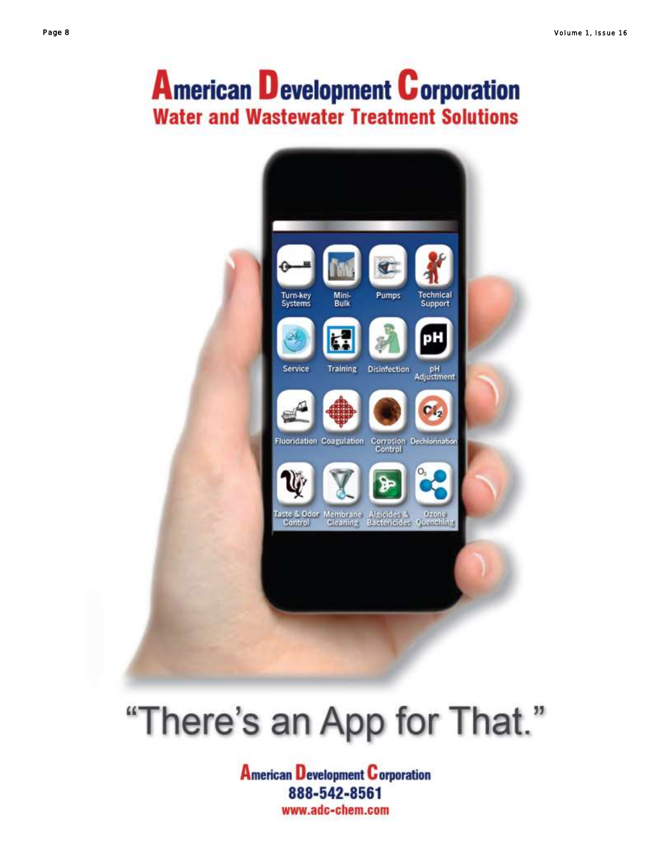## **American Development Corporation Water and Wastewater Treatment Solutions**



# "There's an App for That."

**American Development Corporation** 888-542-8561 www.adc-chem.com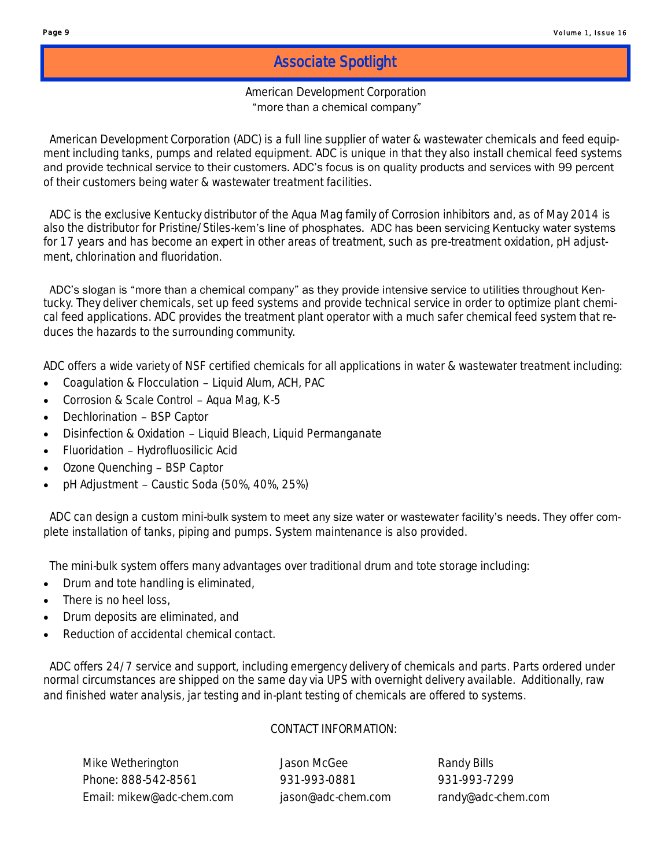### Associate Spotlight

### American Development Corporation "more than a chemical company"

 American Development Corporation (ADC) is a full line supplier of water & wastewater chemicals and feed equipment including tanks, pumps and related equipment. ADC is unique in that they also install chemical feed systems and provide technical service to their customers. ADC's focus is on quality products and services with 99 percent of their customers being water & wastewater treatment facilities.

 ADC is the exclusive Kentucky distributor of the Aqua Mag family of Corrosion inhibitors and, as of May 2014 is also the distributor for Pristine/Stiles-kem's line of phosphates. ADC has been servicing Kentucky water systems for 17 years and has become an expert in other areas of treatment, such as pre-treatment oxidation, pH adjustment, chlorination and fluoridation.

 ADC's slogan is "more than a chemical company" as they provide intensive service to utilities throughout Kentucky. They deliver chemicals, set up feed systems and provide technical service in order to optimize plant chemical feed applications. ADC provides the treatment plant operator with a much safer chemical feed system that reduces the hazards to the surrounding community.

ADC offers a wide variety of NSF certified chemicals for all applications in water & wastewater treatment including:

- Coagulation & Flocculation Liquid Alum, ACH, PAC
- Corrosion & Scale Control Aqua Mag, K-5
- Dechlorination BSP Captor
- Disinfection & Oxidation Liquid Bleach, Liquid Permanganate
- Fluoridation Hydrofluosilicic Acid
- Ozone Quenching BSP Captor
- pH Adjustment Caustic Soda (50%, 40%, 25%)

ADC can design a custom mini-bulk system to meet any size water or wastewater facility's needs. They offer complete installation of tanks, piping and pumps. System maintenance is also provided.

The mini-bulk system offers many advantages over traditional drum and tote storage including:

- Drum and tote handling is eliminated,
- There is no heel loss,
- Drum deposits are eliminated, and
- Reduction of accidental chemical contact.

 ADC offers 24/7 service and support, including emergency delivery of chemicals and parts. Parts ordered under normal circumstances are shipped on the same day via UPS with overnight delivery available. Additionally, raw and finished water analysis, jar testing and in-plant testing of chemicals are offered to systems.

### CONTACT INFORMATION:

Mike Wetherington **Mike Wetherington** Jason McGee Randy Bills Phone: 888-542-8561 931-993-0881 931-993-7299 Email: mikew@adc-chem.com jason@adc-chem.com randy@adc-chem.com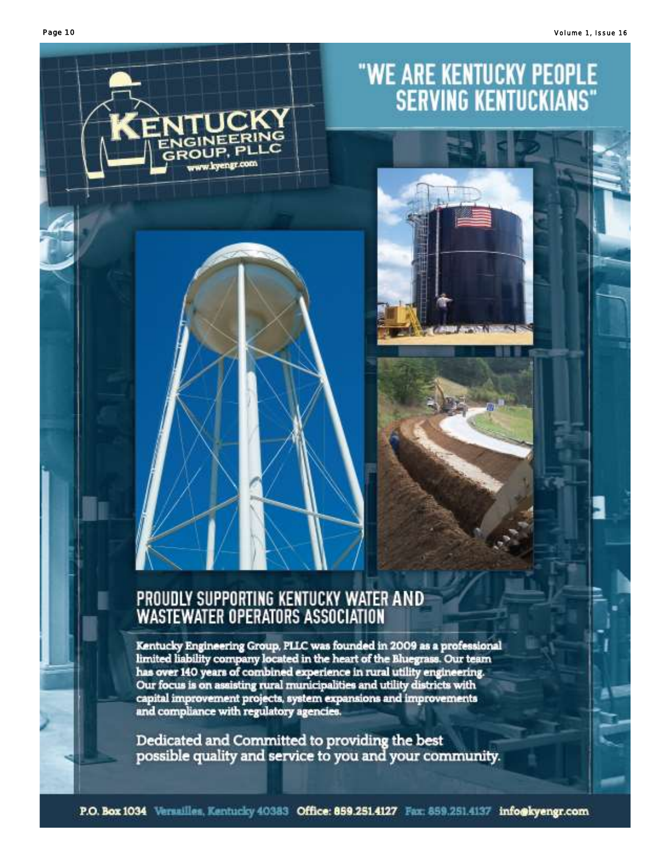

# PROUDLY SUPPORTING KENTUCKY WATER AND<br>WASTEWATER OPERATORS ASSOCIATION

Kentucky Engineering Group, PLLC was founded in 2009 as a professional limited liability company located in the heart of the Bluegrass. Our team has over 140 years of combined experience in rural utility engineering. Our focus is on assisting rural municipalities and utility districts with capital improvement projects, system expansions and improvements<br>and compliance with regulatory agencies.

Dedicated and Committed to providing the best possible quality and service to you and your community.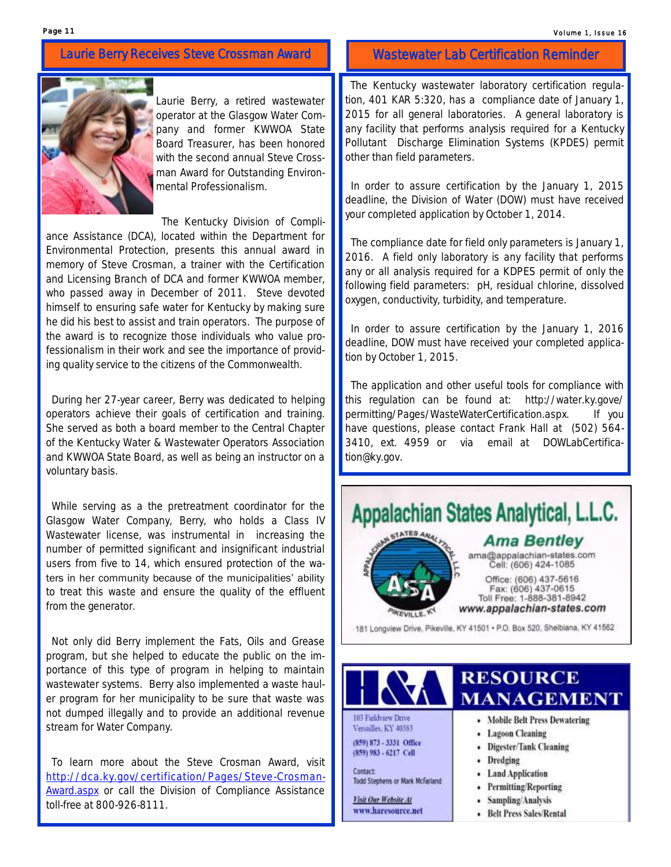### Laurie Berry Receives Steve Crossman Award



Laurie Berry, a retired wastewater operator at the Glasgow Water Company and former KWWOA State Board Treasurer, has been honored with the second annual Steve Crossman Award for Outstanding Environmental Professionalism.

The Kentucky Division of Compli-

ance Assistance (DCA), located within the Department for Environmental Protection, presents this annual award in memory of Steve Crosman, a trainer with the Certification and Licensing Branch of DCA and former KWWOA member, who passed away in December of 2011. Steve devoted himself to ensuring safe water for Kentucky by making sure he did his best to assist and train operators. The purpose of the award is to recognize those individuals who value professionalism in their work and see the importance of providing quality service to the citizens of the Commonwealth.

 During her 27-year career, Berry was dedicated to helping operators achieve their goals of certification and training. She served as both a board member to the Central Chapter of the Kentucky Water & Wastewater Operators Association and KWWOA State Board, as well as being an instructor on a voluntary basis.

 While serving as a the pretreatment coordinator for the Glasgow Water Company, Berry, who holds a Class IV Wastewater license, was instrumental in increasing the number of permitted significant and insignificant industrial users from five to 14, which ensured protection of the waters in her community because of the municipalities' ability to treat this waste and ensure the quality of the effluent from the generator.

 Not only did Berry implement the Fats, Oils and Grease program, but she helped to educate the public on the importance of this type of program in helping to maintain wastewater systems. Berry also implemented a waste hauler program for her municipality to be sure that waste was not dumped illegally and to provide an additional revenue stream for Water Company.

 To learn more about the Steve Crosman Award, visit [http://dca.ky.gov/certification/Pages/Steve-Crosman-](http://dca.ky.gov/certification/Pages/Steve-Crosman-Award.aspx)[Award.aspx](http://dca.ky.gov/certification/Pages/Steve-Crosman-Award.aspx) or call the Division of Compliance Assistance toll-free at 800-926-8111.

### Wastewater Lab Certification Reminder

 The Kentucky wastewater laboratory certification regulation, 401 KAR 5:320, has a compliance date of January 1, 2015 for all general laboratories. A general laboratory is any facility that performs analysis required for a Kentucky Pollutant Discharge Elimination Systems (KPDES) permit other than field parameters.

 In order to assure certification by the January 1, 2015 deadline, the Division of Water (DOW) must have received your completed application by October 1, 2014.

 The compliance date for field only parameters is January 1, 2016. A field only laboratory is any facility that performs any or all analysis required for a KDPES permit of only the following field parameters: pH, residual chlorine, dissolved oxygen, conductivity, turbidity, and temperature.

 In order to assure certification by the January 1, 2016 deadline, DOW must have received your completed application by October 1, 2015.

 The application and other useful tools for compliance with this regulation can be found at: http://water.ky.gove/ permitting/Pages/WasteWaterCertification.aspx. If you have questions, please contact Frank Hall at (502) 564- 3410, ext. 4959 or via email at DOWLabCertification@ky.gov.



103 Fieldview Drive Versailles, KY 40383 (859) 873 - 3331 Office (859) 983 - 6217 Cell

Contact Todd Stephens or Mark McFarland

Visit Our Website At www.haresource.net

## **MANAGEMENT**

- Mobile Belt Press Dewatering
- Lagoon Cleaning
- Digester/Tank Cleaning
- Dredging
- Land Application
- Permitting/Reporting
- Sampling/Analysis
- Belt Press Sales/Rental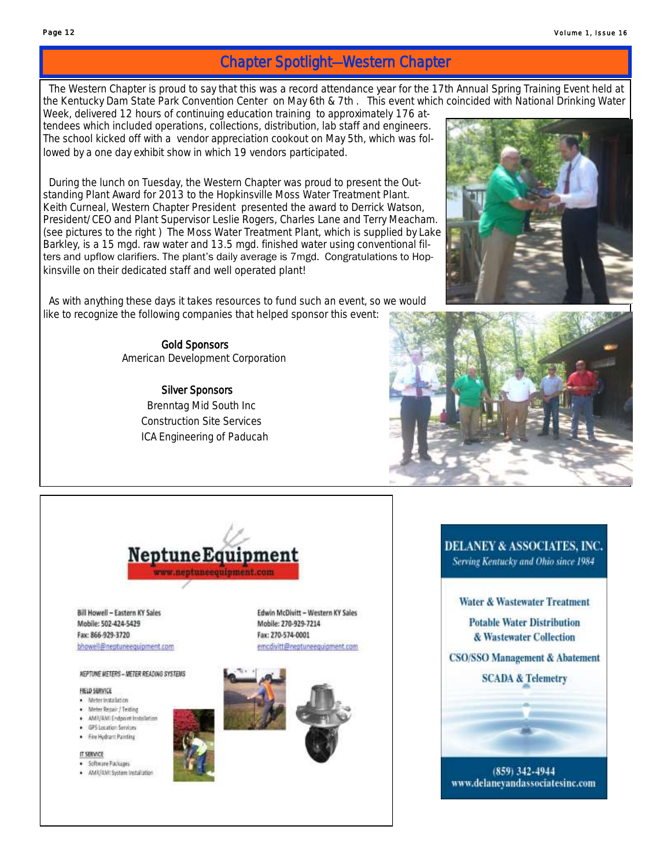### Chapter Spotlight—Western Chapter

 The Western Chapter is proud to say that this was a record attendance year for the 17th Annual Spring Training Event held at the Kentucky Dam State Park Convention Center on May 6th & 7th . This event which coincided with National Drinking Water

Week, delivered 12 hours of continuing education training to approximately 176 attendees which included operations, collections, distribution, lab staff and engineers. The school kicked off with a vendor appreciation cookout on May 5th, which was followed by a one day exhibit show in which 19 vendors participated.

 During the lunch on Tuesday, the Western Chapter was proud to present the Outstanding Plant Award for 2013 to the Hopkinsville Moss Water Treatment Plant. Keith Curneal, Western Chapter President presented the award to Derrick Watson, President/CEO and Plant Supervisor Leslie Rogers, Charles Lane and Terry Meacham. (see pictures to the right ) The Moss Water Treatment Plant, which is supplied by Lake Barkley, is a 15 mgd. raw water and 13.5 mgd. finished water using conventional filters and upflow clarifiers. The plant's daily average is 7mgd. Congratulations to Hopkinsville on their dedicated staff and well operated plant!

 As with anything these days it takes resources to fund such an event, so we would like to recognize the following companies that helped sponsor this event:

> Gold Sponsors American Development Corporation

> > Silver Sponsors Brenntag Mid South Inc Construction Site Services ICA Engineering of Paducah







**Bill Howell - Eastern KY Sales** Mobile: 502-424-5429 Fax: 866-929-3720 bhowell@neptuneequipment.com

### **NEPTUNE METERS - NETER READING SYSTEMS**

FIELD SERVICE

- · Meter installation
- · Meter Repair / Texting
- · AMR/AN: Endpoint Installation · GPS Location Services
- · Eine Hydrant Painting
- 
- IT SERVICE
- · Software Packages · ANR/ANTSystem Installation

Edwin McDivitt - Western KY Sales Mobile: 270-929-7214 Fax: 270-574-0001 emcdwitt@neptuneequipment.com



## Serving Kentucky and Ohio since 1984 **Water & Wastewater Treatment Potable Water Distribution** & Wastewater Collection **CSO/SSO Management & Abatement SCADA & Telemetry**

**DELANEY & ASSOCIATES, INC.** 



 $(859)$  342-4944 www.delaneyandassociatesinc.com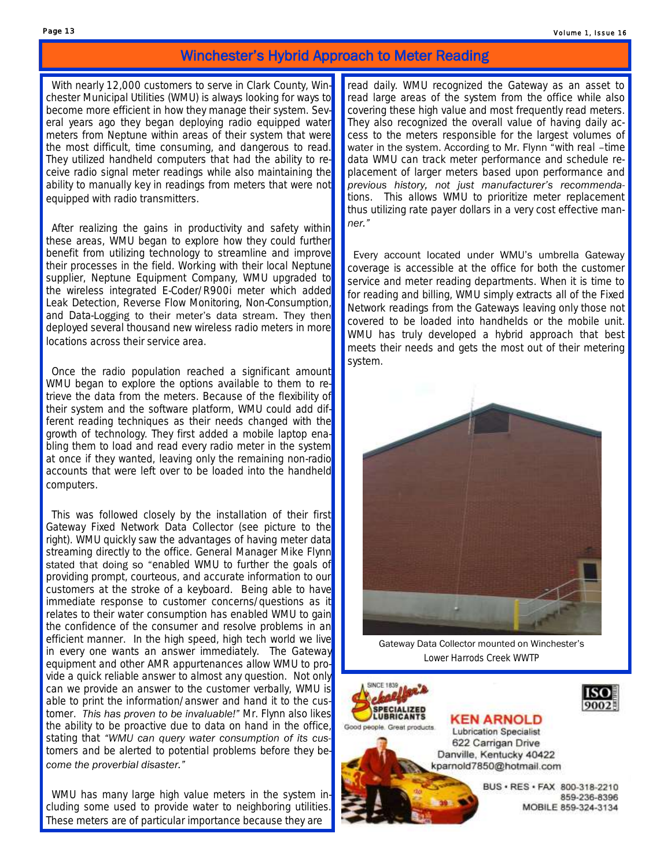### Winchester's Hybrid Approach to Meter Reading

 With nearly 12,000 customers to serve in Clark County, Winchester Municipal Utilities (WMU) is always looking for ways to become more efficient in how they manage their system. Several years ago they began deploying radio equipped water meters from Neptune within areas of their system that were the most difficult, time consuming, and dangerous to read. They utilized handheld computers that had the ability to receive radio signal meter readings while also maintaining the ability to manually key in readings from meters that were not equipped with radio transmitters.

 After realizing the gains in productivity and safety within these areas, WMU began to explore how they could further benefit from utilizing technology to streamline and improve their processes in the field. Working with their local Neptune supplier, Neptune Equipment Company, WMU upgraded to the wireless integrated E-Coder/R900i meter which added Leak Detection, Reverse Flow Monitoring, Non-Consumption, and Data-Logging to their meter's data stream. They then deployed several thousand new wireless radio meters in more locations across their service area.

 Once the radio population reached a significant amount WMU began to explore the options available to them to retrieve the data from the meters. Because of the flexibility of their system and the software platform, WMU could add different reading techniques as their needs changed with the growth of technology. They first added a mobile laptop enabling them to load and read every radio meter in the system at once if they wanted, leaving only the remaining non-radio accounts that were left over to be loaded into the handheld computers.

 This was followed closely by the installation of their first Gateway Fixed Network Data Collector (see picture to the right). WMU quickly saw the advantages of having meter data streaming directly to the office. General Manager Mike Flynn stated that doing so "*enabled WMU to further the goals of providing prompt, courteous, and accurate information to our customers at the stroke of a keyboard. Being able to have immediate response to customer concerns/questions as it* relates to their water consumption has enabled WMU to gain *the confidence of the consumer and resolve problems in an efficient manner. In the high speed, high tech world we live in every one wants an answer immediately. The Gateway equipment and other AMR appurtenances allow WMU to provide a quick reliable answer to almost any question. Not only can we provide an answer to the customer verbally, WMU is able to print the information/answer and hand it to the customer. This has proven to be invaluable!"* Mr. Flynn also likes the ability to be proactive due to data on hand in the office, stating that *"WMU can query water consumption of its customers and be alerted to potential problems before they become the proverbial disaster."* 

WMU has many large high value meters in the system including some used to provide water to neighboring utilities. These meters are of particular importance because they are

read daily. WMU recognized the Gateway as an asset to read large areas of the system from the office while also covering these high value and most frequently read meters. They also recognized the overall value of having daily access to the meters responsible for the largest volumes of water in the system. According to Mr. Flynn "*with real –time data WMU can track meter performance and schedule replacement of larger meters based upon performance and previous history, not just manufacturer's recommendations. This allows WMU to prioritize meter replacement thus utilizing rate payer dollars in a very cost effective manner."* 

 Every account located under WMU's umbrella Gateway coverage is accessible at the office for both the customer service and meter reading departments. When it is time to for reading and billing, WMU simply extracts all of the Fixed Network readings from the Gateways leaving only those not covered to be loaded into handhelds or the mobile unit. WMU has truly developed a hybrid approach that best meets their needs and gets the most out of their metering system.



Gateway Data Collector mounted on Winchester's Lower Harrods Creek WWTP





**Lubrication Specialist** 622 Carrigan Drive Danville, Kentucky 40422 kparnold7850@hotmail.com

> BUS · RES · FAX 800-318-2210 859-236-8396 MOBILE 859-324-3134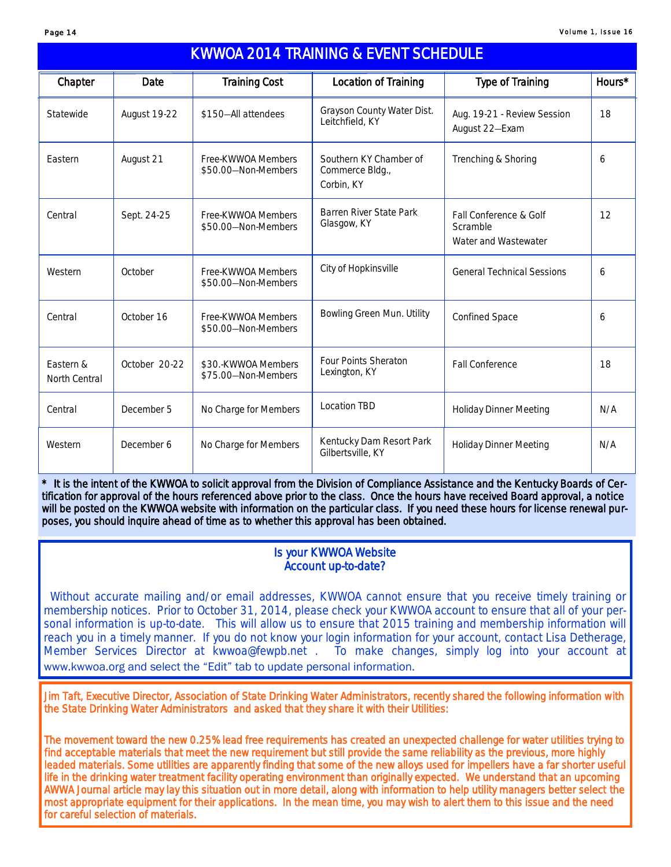| <b>KWWOA 2014 TRAINING &amp; EVENT SCHEDULE</b> |               |                                            |                                                         |                                                            |        |  |  |  |  |
|-------------------------------------------------|---------------|--------------------------------------------|---------------------------------------------------------|------------------------------------------------------------|--------|--|--|--|--|
| Chapter                                         | Date          | <b>Training Cost</b>                       | Location of Training                                    | <b>Type of Training</b>                                    | Hours* |  |  |  |  |
| Statewide                                       | August 19-22  | \$150-All attendees                        | Grayson County Water Dist.<br>Leitchfield, KY           | Aug. 19-21 - Review Session<br>August 22-Exam              | 18     |  |  |  |  |
| Fastern                                         | August 21     | Free-KWWOA Members<br>\$50.00-Non-Members  | Southern KY Chamber of<br>Commerce Bldg.,<br>Corbin, KY | Trenching & Shoring                                        | 6      |  |  |  |  |
| Central                                         | Sept. 24-25   | Free-KWWOA Members<br>\$50.00-Non-Members  | Barren River State Park<br>Glasgow, KY                  | Fall Conference & Golf<br>Scramble<br>Water and Wastewater | 12     |  |  |  |  |
| Western                                         | October       | Free-KWWOA Members<br>\$50.00-Non-Members  | City of Hopkinsville                                    | <b>General Technical Sessions</b>                          | 6      |  |  |  |  |
| Central                                         | October 16    | Free-KWWOA Members<br>\$50.00-Non-Members  | Bowling Green Mun. Utility                              | Confined Space                                             | 6      |  |  |  |  |
| Fastern &<br>North Central                      | October 20-22 | \$30.-KWWOA Members<br>\$75.00-Non-Members | <b>Four Points Sheraton</b><br>Lexington, KY            | <b>Fall Conference</b>                                     | 18     |  |  |  |  |
| Central                                         | December 5    | No Charge for Members                      | Location TBD                                            | <b>Holiday Dinner Meeting</b>                              | N/A    |  |  |  |  |
| Western                                         | December 6    | No Charge for Members                      | Kentucky Dam Resort Park<br>Gilbertsville, KY           | <b>Holiday Dinner Meeting</b>                              | N/A    |  |  |  |  |

\* It is the intent of the KWWOA to solicit approval from the Division of Compliance Assistance and the Kentucky Boards of Certification for approval of the hours referenced above prior to the class. Once the hours have received Board approval, a notice will be posted on the KWWOA website with information on the particular class. If you need these hours for license renewal purposes, you should inquire ahead of time as to whether this approval has been obtained.

### Is your KWWOA Website Account up-to-date?

 Without accurate mailing and/or email addresses, KWWOA cannot ensure that you receive timely training or membership notices. Prior to October 31, 2014, please check your KWWOA account to ensure that all of your personal information is up-to-date. This will allow us to ensure that 2015 training and membership information will reach you in a timely manner. If you do not know your login information for your account, contact Lisa Detherage, Member Services Director at kwwoa@fewpb.net . To make changes, simply log into your account at www.kwwoa.org and select the "Edit" tab to update personal information.

Jim Taft, Executive Director, Association of State Drinking Water Administrators, recently shared the following information with the State Drinking Water Administrators and asked that they share it with their Utilities:

The movement toward the new 0.25% lead free requirements has created an unexpected challenge for water utilities trying to find acceptable materials that meet the new requirement but still provide the same reliability as the previous, more highly leaded materials. Some utilities are apparently finding that some of the new alloys used for *impellers* have a far shorter useful life in the drinking water treatment facility operating environment than originally expected. We understand that an upcoming AWWA Journal article may lay this situation out in more detail, along with information to help utility managers better select the most appropriate equipment for their applications. In the mean time, you may wish to alert them to this issue and the need for careful selection of materials.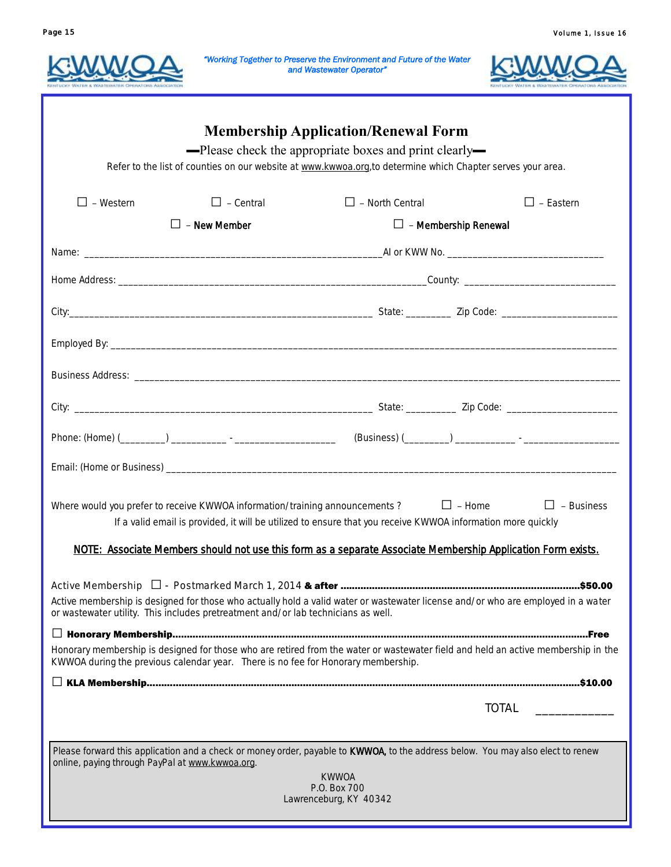



|                                                                                   |                     | "Working Together to Preserve the Environment and Future of the Water<br>and Wastewater Operator"                                                                                                                   |                  |                   |  |
|-----------------------------------------------------------------------------------|---------------------|---------------------------------------------------------------------------------------------------------------------------------------------------------------------------------------------------------------------|------------------|-------------------|--|
|                                                                                   |                     | <b>Membership Application/Renewal Form</b><br>-Please check the appropriate boxes and print clearly-<br>Refer to the list of counties on our website at www.kwwoa.org, to determine which Chapter serves your area. |                  |                   |  |
| $\Box$ - Western                                                                  | $\Box$ - Central    | $\Box$ - North Central                                                                                                                                                                                              |                  | $\Box$ - Eastern  |  |
|                                                                                   | $\Box$ - New Member | $\Box$ - Membership Renewal                                                                                                                                                                                         |                  |                   |  |
|                                                                                   |                     |                                                                                                                                                                                                                     |                  |                   |  |
|                                                                                   |                     |                                                                                                                                                                                                                     |                  |                   |  |
|                                                                                   |                     |                                                                                                                                                                                                                     |                  |                   |  |
|                                                                                   |                     |                                                                                                                                                                                                                     |                  |                   |  |
|                                                                                   |                     |                                                                                                                                                                                                                     |                  |                   |  |
|                                                                                   |                     |                                                                                                                                                                                                                     |                  |                   |  |
|                                                                                   |                     |                                                                                                                                                                                                                     |                  |                   |  |
|                                                                                   |                     |                                                                                                                                                                                                                     |                  |                   |  |
| Where would you prefer to receive KWWOA information/training announcements?       |                     | If a valid email is provided, it will be utilized to ensure that you receive KWWOA information more quickly                                                                                                         | $\square$ - Home | $\Box$ - Business |  |
|                                                                                   |                     | NOTE: Associate Members should not use this form as a separate Associate Membership Application Form exists.                                                                                                        |                  |                   |  |
| or wastewater utility. This includes pretreatment and/or lab technicians as well. |                     | Active membership is designed for those who actually hold a valid water or wastewater license and/or who are employed in a water                                                                                    |                  |                   |  |
|                                                                                   |                     |                                                                                                                                                                                                                     |                  |                   |  |
| KWWOA during the previous calendar year. There is no fee for Honorary membership. |                     | Honorary membership is designed for those who are retired from the water or wastewater field and held an active membership in the                                                                                   |                  |                   |  |
|                                                                                   |                     |                                                                                                                                                                                                                     |                  |                   |  |
|                                                                                   |                     |                                                                                                                                                                                                                     | TOTAL            |                   |  |
| online, paying through PayPal at www.kwwoa.org.                                   |                     | Please forward this application and a check or money order, payable to KWWOA, to the address below. You may also elect to renew<br><b>KWWOA</b><br>P.O. Box 700<br>Lawrenceburg, KY 40342                           |                  |                   |  |